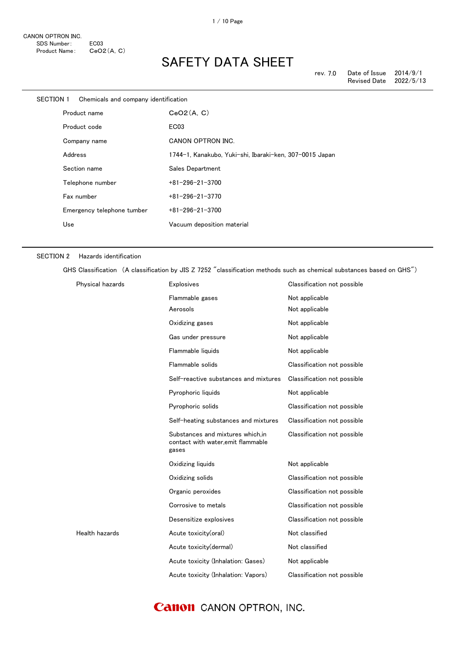| SECTION 1 Chemicals and company identification |                                                         |
|------------------------------------------------|---------------------------------------------------------|
| Product name                                   | CeO2(A, C)                                              |
| Product code                                   | EC <sub>03</sub>                                        |
| Company name                                   | <b>CANON OPTRON INC.</b>                                |
| Address                                        | 1744-1, Kanakubo, Yuki-shi, Ibaraki-ken, 307-0015 Japan |
| Section name                                   | Sales Department                                        |
| Telephone number                               | $+81 - 296 - 21 - 3700$                                 |
| Fax number                                     | $+81 - 296 - 21 - 3770$                                 |
| Emergency telephone tumber                     | $+81 - 296 - 21 - 3700$                                 |
| Use                                            | Vacuum deposition material                              |
|                                                |                                                         |

#### SECTION 2 Hazards identification

GHS Classification (A classification by JIS Z 7252 "classification methods such as chemical substances based on GHS")

| Physical hazards | <b>Explosives</b>                                                               | Classification not possible |
|------------------|---------------------------------------------------------------------------------|-----------------------------|
|                  | Flammable gases                                                                 | Not applicable              |
|                  | Aerosols                                                                        | Not applicable              |
|                  | Oxidizing gases                                                                 | Not applicable              |
|                  | Gas under pressure                                                              | Not applicable              |
|                  | Flammable liquids                                                               | Not applicable              |
|                  | Flammable solids                                                                | Classification not possible |
|                  | Self-reactive substances and mixtures                                           | Classification not possible |
|                  | Pyrophoric liquids                                                              | Not applicable              |
|                  | Pyrophoric solids                                                               | Classification not possible |
|                  | Self-heating substances and mixtures                                            | Classification not possible |
|                  | Substances and mixtures which.in<br>contact with water, emit flammable<br>gases | Classification not possible |
|                  | Oxidizing liquids                                                               | Not applicable              |
|                  | Oxidizing solids                                                                | Classification not possible |
|                  | Organic peroxides                                                               | Classification not possible |
|                  | Corrosive to metals                                                             | Classification not possible |
|                  | Desensitize explosives                                                          | Classification not possible |
| Health hazards   | Acute toxicity(oral)                                                            | Not classified              |
|                  | Acute toxicity(dermal)                                                          | Not classified              |
|                  | Acute toxicity (Inhalation: Gases)                                              | Not applicable              |
|                  | Acute toxicity (Inhalation: Vapors)                                             | Classification not possible |

### **Canon** CANON OPTRON, INC.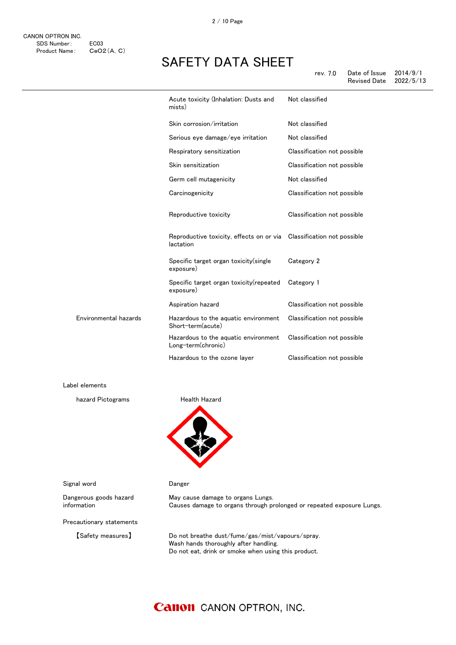|                       | Acute toxicity (Inhalation: Dusts and<br>mists)                                   | Not classified              |
|-----------------------|-----------------------------------------------------------------------------------|-----------------------------|
|                       | Skin corrosion/irritation                                                         | Not classified              |
|                       | Serious eye damage/eye irritation                                                 | Not classified              |
|                       | Respiratory sensitization                                                         | Classification not possible |
|                       | Skin sensitization                                                                | Classification not possible |
|                       | Germ cell mutagenicity                                                            | Not classified              |
|                       | Carcinogenicity                                                                   | Classification not possible |
|                       | Reproductive toxicity                                                             | Classification not possible |
|                       | Reproductive toxicity, effects on or via Classification not possible<br>lactation |                             |
|                       | Specific target organ toxicity(single<br>exposure)                                | Category 2                  |
|                       | Specific target organ toxicity (repeated<br>exposure)                             | Category 1                  |
|                       | Aspiration hazard                                                                 | Classification not possible |
| Environmental hazards | Hazardous to the aquatic environment<br>Short-term(acute)                         | Classification not possible |
|                       | Hazardous to the aquatic environment<br>Long-term(chronic)                        | Classification not possible |
|                       | Hazardous to the ozone layer                                                      | Classification not possible |

Label elements

hazard Pictograms **Health Hazard** 



Signal word **Danger** 

Dangerous goods hazard information

Precautionary statements

【Safety measures】 Do not breathe dust/fume/gas/mist/vapours/spray. Wash hands thoroughly after handling. Do not eat, drink or smoke when using this product.

Causes damage to organs through prolonged or repeated exposure Lungs.

### **Canon** CANON OPTRON, INC.

May cause damage to organs Lungs.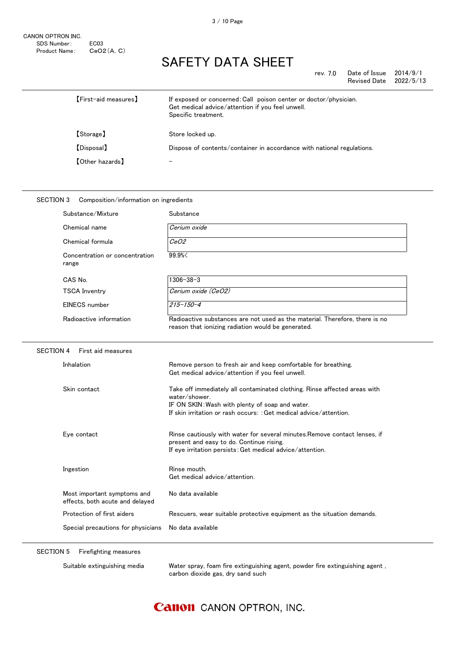| rev. 7.0 | Date of Issue | 2014/9/1  |
|----------|---------------|-----------|
|          | Revised Date  | 2022/5/13 |

| <b>[First-aid measures]</b> | If exposed or concerned: Call poison center or doctor/physician.<br>Get medical advice/attention if you feel unwell.<br>Specific treatment. |
|-----------------------------|---------------------------------------------------------------------------------------------------------------------------------------------|
| 【Storage】                   | Store locked up.                                                                                                                            |
| [Disposal]                  | Dispose of contents/container in accordance with national regulations.                                                                      |
| <b>[Other hazards]</b>      |                                                                                                                                             |

#### SECTION 3 Composition/information on ingredients

| Substance/Mixture                                              | Substance                                                                                                                                                                                                           |
|----------------------------------------------------------------|---------------------------------------------------------------------------------------------------------------------------------------------------------------------------------------------------------------------|
| Chemical name                                                  | Cerium oxide                                                                                                                                                                                                        |
| Chemical formula                                               | CeO2                                                                                                                                                                                                                |
| Concentration or concentration<br>range                        | 99.9%                                                                                                                                                                                                               |
| CAS No.                                                        | $1306 - 38 - 3$                                                                                                                                                                                                     |
| <b>TSCA Inventry</b>                                           | Cerium oxide (CeO2)                                                                                                                                                                                                 |
| <b>EINECS</b> number                                           | $215 - 150 - 4$                                                                                                                                                                                                     |
| Radioactive information                                        | Radioactive substances are not used as the material. Therefore, there is no<br>reason that ionizing radiation would be generated.                                                                                   |
| <b>SECTION 4</b><br>First aid measures                         |                                                                                                                                                                                                                     |
| Inhalation                                                     | Remove person to fresh air and keep comfortable for breathing.<br>Get medical advice/attention if you feel unwell.                                                                                                  |
| Skin contact                                                   | Take off immediately all contaminated clothing. Rinse affected areas with<br>water/shower.<br>IF ON SKIN: Wash with plenty of soap and water.<br>If skin irritation or rash occurs: : Get medical advice/attention. |
| Eye contact                                                    | Rinse cautiously with water for several minutes. Remove contact lenses, if<br>present and easy to do. Continue rising.<br>If eye irritation persists: Get medical advice/attention.                                 |
| Ingestion                                                      | Rinse mouth.<br>Get medical advice/attention.                                                                                                                                                                       |
| Most important symptoms and<br>effects, both acute and delayed | No data available                                                                                                                                                                                                   |
| Protection of first aiders                                     | Rescuers, wear suitable protective equipment as the situation demands.                                                                                                                                              |
| Special precautions for physicians                             | No data available                                                                                                                                                                                                   |
|                                                                |                                                                                                                                                                                                                     |

SECTION 5 Firefighting measures

Suitable extinguishing media Water spray, foam fire extinguishing agent, powder fire extinguishing agent , carbon dioxide gas, dry sand such

### **Canon** CANON OPTRON, INC.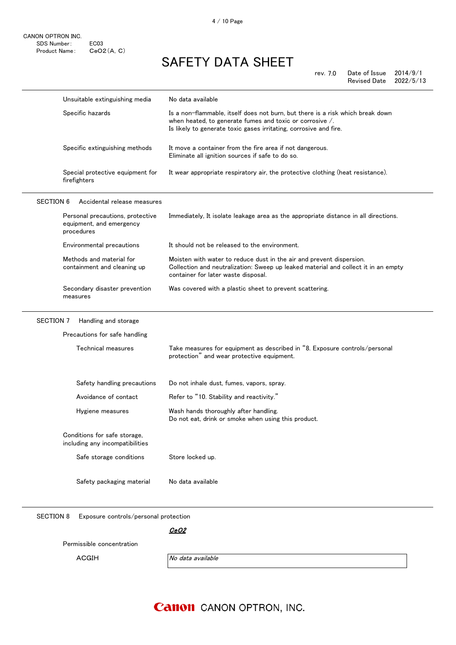rev. 7.0 Date of Issue 2014/9/1 Revised Date

|                  | Unsuitable extinguishing media                                             | No data available                                                                                                                                                                                                       |
|------------------|----------------------------------------------------------------------------|-------------------------------------------------------------------------------------------------------------------------------------------------------------------------------------------------------------------------|
|                  | Specific hazards                                                           | Is a non-flammable, itself does not burn, but there is a risk which break down<br>when heated, to generate fumes and toxic or corrosive $\angle$ .<br>Is likely to generate toxic gases irritating, corrosive and fire. |
|                  | Specific extinguishing methods                                             | It move a container from the fire area if not dangerous.<br>Eliminate all ignition sources if safe to do so.                                                                                                            |
|                  | Special protective equipment for<br>firefighters                           | It wear appropriate respiratory air, the protective clothing (heat resistance).                                                                                                                                         |
| <b>SECTION 6</b> | Accidental release measures                                                |                                                                                                                                                                                                                         |
|                  | Personal precautions, protective<br>equipment, and emergency<br>procedures | Immediately, It isolate leakage area as the appropriate distance in all directions.                                                                                                                                     |
|                  | Environmental precautions                                                  | It should not be released to the environment.                                                                                                                                                                           |
|                  | Methods and material for<br>containment and cleaning up                    | Moisten with water to reduce dust in the air and prevent dispersion.<br>Collection and neutralization: Sweep up leaked material and collect it in an empty<br>container for later waste disposal.                       |
|                  | Secondary disaster prevention<br>measures                                  | Was covered with a plastic sheet to prevent scattering.                                                                                                                                                                 |
| <b>SECTION 7</b> | Handling and storage                                                       |                                                                                                                                                                                                                         |
|                  | Precautions for safe handling                                              |                                                                                                                                                                                                                         |
|                  | Technical measures                                                         | Take measures for equipment as described in "8. Exposure controls/personal<br>protection" and wear protective equipment.                                                                                                |
|                  | Safety handling precautions                                                | Do not inhale dust, fumes, vapors, spray.                                                                                                                                                                               |
|                  | Avoidance of contact                                                       | Refer to "10. Stability and reactivity."                                                                                                                                                                                |
|                  | Hygiene measures                                                           | Wash hands thoroughly after handling.<br>Do not eat, drink or smoke when using this product.                                                                                                                            |
|                  | Conditions for safe storage,<br>including any incompatibilities            |                                                                                                                                                                                                                         |
|                  | Safe storage conditions                                                    | Store locked up.                                                                                                                                                                                                        |
|                  | Safety packaging material                                                  | No data available                                                                                                                                                                                                       |

SECTION 8 Exposure controls/personal protection

<u>CeO2</u>

Permissible concentration

ACGIH No data available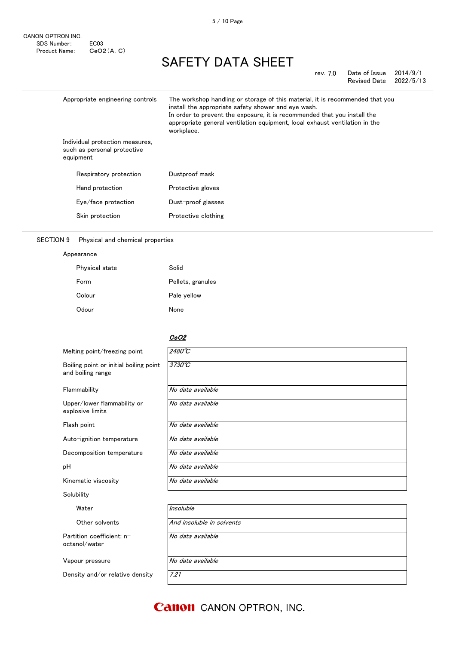#### rev. 7.0 Date of Issue 2014/9/1 Revised Date

|           | Appropriate engineering controls                               | The workshop handling or storage of this material, it is recommended that you<br>install the appropriate safety shower and eye wash.<br>In order to prevent the exposure, it is recommended that you install the<br>appropriate general ventilation equipment, local exhaust ventilation in the<br>workplace. |
|-----------|----------------------------------------------------------------|---------------------------------------------------------------------------------------------------------------------------------------------------------------------------------------------------------------------------------------------------------------------------------------------------------------|
| equipment | Individual protection measures,<br>such as personal protective |                                                                                                                                                                                                                                                                                                               |
|           | Respiratory protection                                         | Dustproof mask                                                                                                                                                                                                                                                                                                |
|           | Hand protection                                                | Protective gloves                                                                                                                                                                                                                                                                                             |
|           | Eye/face protection                                            | Dust-proof glasses                                                                                                                                                                                                                                                                                            |
|           | Skin protection                                                | Protective clothing                                                                                                                                                                                                                                                                                           |

### SECTION 9 Physical and chemical properties

| Appearance     |                   |
|----------------|-------------------|
| Physical state | Solid             |
| Form           | Pellets, granules |
| Colour         | Pale yellow       |
| Odour          | None              |

#### <u>CeO2</u>

| Melting point/freezing point                                | $2480^{\circ}C$           |
|-------------------------------------------------------------|---------------------------|
| Boiling point or initial boiling point<br>and boiling range | $3730^{\circ}C$           |
| Flammability                                                | No data available         |
| Upper/lower flammability or<br>explosive limits             | No data available         |
| Flash point                                                 | No data available         |
| Auto-ignition temperature                                   | No data available         |
| Decomposition temperature                                   | No data available         |
| рH                                                          | No data available         |
| Kinematic viscosity                                         | No data available         |
| Solubility                                                  |                           |
| Water                                                       | Insoluble                 |
| Other solvents                                              | And insoluble in solvents |
| Partition coefficient: n-<br>octanol/water                  | No data available         |
| Vapour pressure                                             | No data available         |
| Density and/or relative density                             | 7.21                      |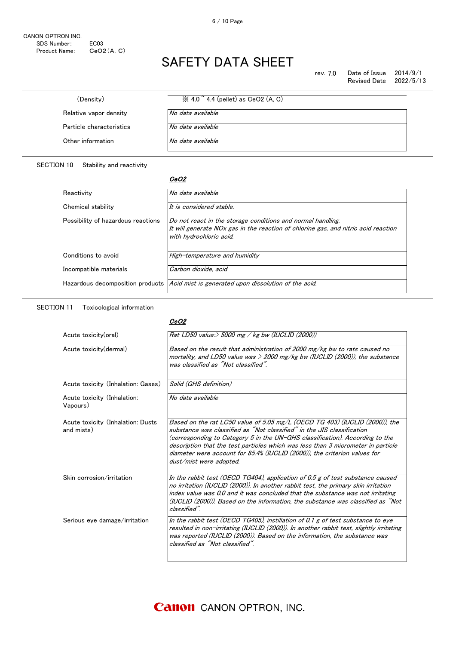| (Density)                | $\%$ 4.0 $\degree$ 4.4 (pellet) as CeO2 (A, C) |
|--------------------------|------------------------------------------------|
| Relative vapor density   | No data available.                             |
| Particle characteristics | No data available                              |
| Other information        | No data available                              |

#### SECTION 10 Stability and reactivity

#### <u>CeO2</u>

| Reactivity                         | No data available                                                                                                                                                            |
|------------------------------------|------------------------------------------------------------------------------------------------------------------------------------------------------------------------------|
| Chemical stability                 | It is considered stable.                                                                                                                                                     |
| Possibility of hazardous reactions | Do not react in the storage conditions and normal handling.<br>It will generate NOx gas in the reaction of chlorine gas, and nitric acid reaction<br>with hydrochloric acid. |
| Conditions to avoid                | High-temperature and humidity                                                                                                                                                |
| Incompatible materials             | Carbon dioxide, acid                                                                                                                                                         |
|                                    | Hazardous decomposition products <i>Acid mist is generated upon dissolution of the acid.</i>                                                                                 |

SECTION 11 Toxicological information

#### <u>CeO2</u>

| Acute toxicity(oral)                            | Rat LD50 value:> 5000 mg / kg bw (IUCLID (2000))                                                                                                                                                                                                                                                                                                                                                                                  |
|-------------------------------------------------|-----------------------------------------------------------------------------------------------------------------------------------------------------------------------------------------------------------------------------------------------------------------------------------------------------------------------------------------------------------------------------------------------------------------------------------|
| Acute toxicity (dermal)                         | Based on the result that administration of 2000 mg/kg bw to rats caused no<br>mortality, and LD50 value was $>$ 2000 mg/kg bw (IUCLID (2000)), the substance<br>was classified as "Not classified".                                                                                                                                                                                                                               |
| Acute toxicity (Inhalation: Gases)              | Solid (GHS definition)                                                                                                                                                                                                                                                                                                                                                                                                            |
| Acute toxicity (Inhalation:<br>Vapours)         | No data available                                                                                                                                                                                                                                                                                                                                                                                                                 |
| Acute toxicity (Inhalation: Dusts<br>and mists) | Based on the rat LC50 value of 5.05 mg/L (OECD TG 403) (IUCLID (2000)), the<br>substance was classified as "Not classified" in the JIS classification<br>(corresponding to Category 5 in the UN-GHS classification). According to the<br>description that the test particles which was less than 3 micrometer in particle<br>diameter were account for 85.4% (IUCLID (2000)), the criterion values for<br>dust/mist were adopted. |
| Skin corrosion/irritation                       | In the rabbit test (OECD TG404), application of 0.5 g of test substance caused<br>no irritation (IUCLID (2000)). In another rabbit test, the primary skin irritation<br>index value was 0.0 and it was concluded that the substance was not irritating<br>(IUCLID (2000)). Based on the information, the substance was classified as "Not<br>classified".                                                                         |
| Serious eye damage/irritation                   | In the rabbit test (OECD TG405), instillation of 0.1 g of test substance to eye<br>resulted in non-irritating (IUCLID (2000)). In another rabbit test, slightly irritating<br>was reported (IUCLID (2000)). Based on the information, the substance was<br>classified as "Not classified".                                                                                                                                        |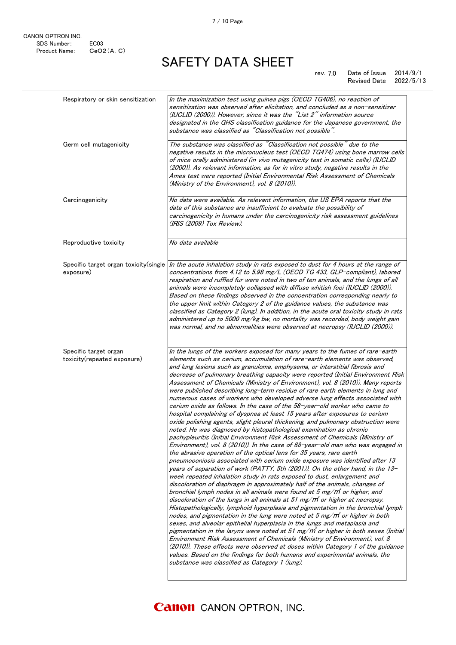#### rev. 7.0 Date of Issue 2014/9/1 Revised Date 2022/5/13

| Respiratory or skin sensitization                    | In the maximization test using guinea pigs (OECD TG406), no reaction of<br>sensitization was observed after elicitation, and concluded as a non-sensitizer<br>(IUCLID (2000)). However, since it was the "List 2" information source<br>designated in the GHS classification guidance for the Japanese government, the<br>substance was classified as "Classification not possible".                                                                                                                                                                                                                                                                                                                                                                                                                                                                                                                                                                                                                                                                                                                                                                                                                                                                                                                                                                                                                                                                                                                                                                                                                                                                                                                                                                                                                                                                                                                                                                                                                                                                                                                                                                                                                                                                                                                                            |
|------------------------------------------------------|---------------------------------------------------------------------------------------------------------------------------------------------------------------------------------------------------------------------------------------------------------------------------------------------------------------------------------------------------------------------------------------------------------------------------------------------------------------------------------------------------------------------------------------------------------------------------------------------------------------------------------------------------------------------------------------------------------------------------------------------------------------------------------------------------------------------------------------------------------------------------------------------------------------------------------------------------------------------------------------------------------------------------------------------------------------------------------------------------------------------------------------------------------------------------------------------------------------------------------------------------------------------------------------------------------------------------------------------------------------------------------------------------------------------------------------------------------------------------------------------------------------------------------------------------------------------------------------------------------------------------------------------------------------------------------------------------------------------------------------------------------------------------------------------------------------------------------------------------------------------------------------------------------------------------------------------------------------------------------------------------------------------------------------------------------------------------------------------------------------------------------------------------------------------------------------------------------------------------------------------------------------------------------------------------------------------------------|
| Germ cell mutagenicity                               | The substance was classified as "Classification not possible" due to the<br>negative results in the micronucleus test (OECD TG474) using bone marrow cells<br>of mice orally administered (in vivo mutagenicity test in somatic cells) (IUCLID<br>(2000)). As relevant information, as for in vitro study, negative results in the<br>Ames test were reported (Initial Environmental Risk Assessment of Chemicals<br>(Ministry of the Environment), vol. 8 (2010)).                                                                                                                                                                                                                                                                                                                                                                                                                                                                                                                                                                                                                                                                                                                                                                                                                                                                                                                                                                                                                                                                                                                                                                                                                                                                                                                                                                                                                                                                                                                                                                                                                                                                                                                                                                                                                                                             |
| Carcinogenicity                                      | No data were available. As relevant information, the US EPA reports that the<br>data of this substance are insufficient to evaluate the possibility of<br>carcinogenicity in humans under the carcinogenicity risk assessment guidelines<br>(IRIS (2009) Tox Review).                                                                                                                                                                                                                                                                                                                                                                                                                                                                                                                                                                                                                                                                                                                                                                                                                                                                                                                                                                                                                                                                                                                                                                                                                                                                                                                                                                                                                                                                                                                                                                                                                                                                                                                                                                                                                                                                                                                                                                                                                                                           |
| Reproductive toxicity                                | No data available                                                                                                                                                                                                                                                                                                                                                                                                                                                                                                                                                                                                                                                                                                                                                                                                                                                                                                                                                                                                                                                                                                                                                                                                                                                                                                                                                                                                                                                                                                                                                                                                                                                                                                                                                                                                                                                                                                                                                                                                                                                                                                                                                                                                                                                                                                               |
| Specific target organ toxicity (single<br>exposure)  | In the acute inhalation study in rats exposed to dust for 4 hours at the range of<br>concentrations from 4.12 to 5.98 mg/L (OECD TG 433, GLP-compliant), labored<br>respiration and ruffled fur were noted in two of ten animals, and the lungs of all<br>animals were incompletely collapsed with diffuse whitish foci (IUCLID (2000)).<br>Based on these findings observed in the concentration corresponding nearly to<br>the upper limit within Category 2 of the guidance values, the substance was<br>classified as Category 2 (lung). In addition, in the acute oral toxicity study in rats<br>administered up to 5000 mg/kg bw, no mortality was recorded, body weight gain<br>was normal, and no abnormalities were observed at necropsy (IUCLID (2000)).                                                                                                                                                                                                                                                                                                                                                                                                                                                                                                                                                                                                                                                                                                                                                                                                                                                                                                                                                                                                                                                                                                                                                                                                                                                                                                                                                                                                                                                                                                                                                              |
| Specific target organ<br>toxicity(repeated exposure) | In the lungs of the workers exposed for many years to the fumes of rare-earth<br>elements such as cerium, accumulation of rare-earth elements was observed,<br>and lung lesions such as granuloma, emphysema, or interstitial fibrosis and<br>decrease of pulmonary breathing capacity were reported (Initial Environment Risk<br>Assessment of Chemicals (Ministry of Environment), vol. 8 (2010)). Many reports<br>were published describing long-term residue of rare earth elements in lung and<br>numerous cases of workers who developed adverse lung effects associated with<br>cerium oxide as follows. In the case of the 58-year-old worker who came to<br>hospital complaining of dyspnea at least 15 years after exposures to cerium<br>oxide polishing agents, slight pleural thickening, and pulmonary obstruction were<br>noted. He was diagnosed by histopathological examination as chronic<br>pachypleuritis (Initial Environment Risk Assessment of Chemicals (Ministry of<br>Environment), vol. 8 (2010)). In the case of $68$ -year-old man who was engaged in<br>the abrasive operation of the optical lens for 35 years, rare earth<br>pneumoconiosis associated with cerium oxide exposure was identified after 13<br>years of separation of work (PATTY, 5th (2001)). On the other hand, in the 13-<br>week repeated inhalation study in rats exposed to dust, enlargement and<br>discoloration of diaphragm in approximately half of the animals, changes of<br>bronchial lymph nodes in all animals were found at 5 mg/m or higher, and<br>discoloration of the lungs in all animals at 51 mg/m <sup>3</sup> or higher at necropsy.<br>Histopathologically, lymphoid hyperplasia and pigmentation in the bronchial lymph<br>nodes, and pigmentation in the lung were noted at $5 \text{ mg/m}^3$ or higher in both<br>sexes, and alveolar epithelial hyperplasia in the lungs and metaplasia and<br>pigmentation in the larynx were noted at 51 mg/m <sup>3</sup> or higher in both sexes (Initial<br>Environment Risk Assessment of Chemicals (Ministry of Environment), vol. 8<br>(2010)). These effects were observed at doses within Category 1 of the guidance<br>values. Based on the findings for both humans and experimental animals, the<br>substance was classified as Category 1 (lung). |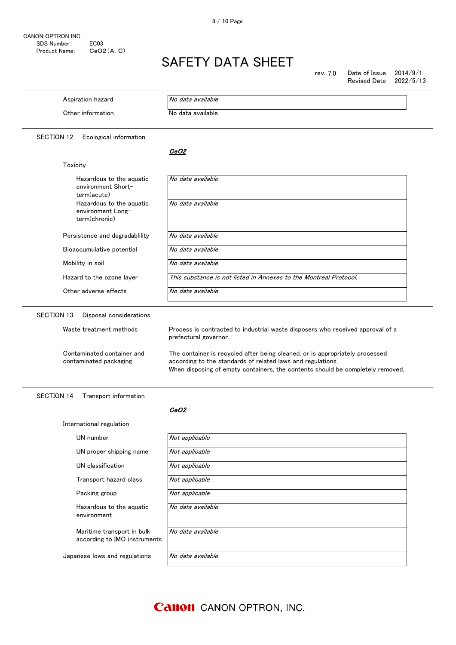$\overline{\phantom{a}}$ 

# SAFETY DATA SHEET

rev. 7.0 Date of Issue 2014/9/1

|                                                                                 | 2022/5/13<br>Revised Date                                                                                                                                                                                                                                                                                                                |
|---------------------------------------------------------------------------------|------------------------------------------------------------------------------------------------------------------------------------------------------------------------------------------------------------------------------------------------------------------------------------------------------------------------------------------|
| Aspiration hazard                                                               | No data available                                                                                                                                                                                                                                                                                                                        |
| Other information                                                               | No data available                                                                                                                                                                                                                                                                                                                        |
| SECTION 12<br>Ecological information                                            |                                                                                                                                                                                                                                                                                                                                          |
|                                                                                 | <i>CeO2</i>                                                                                                                                                                                                                                                                                                                              |
| Toxicity                                                                        |                                                                                                                                                                                                                                                                                                                                          |
| Hazardous to the aquatic<br>environment Short-<br>term(acute)                   | No data available                                                                                                                                                                                                                                                                                                                        |
| Hazardous to the aquatic<br>environment Long-<br>term(chronic)                  | No data available                                                                                                                                                                                                                                                                                                                        |
| Persistence and degradability                                                   | No data available                                                                                                                                                                                                                                                                                                                        |
| Bioaccumulative potential                                                       | No data available                                                                                                                                                                                                                                                                                                                        |
| Mobility in soil                                                                | No data available                                                                                                                                                                                                                                                                                                                        |
| Hazard to the ozone layer                                                       | This substance is not listed in Annexes to the Montreal Protocol.                                                                                                                                                                                                                                                                        |
| Other adverse effects                                                           | No data available                                                                                                                                                                                                                                                                                                                        |
| Waste treatment methods<br>Contaminated container and<br>contaminated packaging | Process is contracted to industrial waste disposers who received approval of a<br>prefectural governor.<br>The container is recycled after being cleaned, or is appropriately processed<br>according to the standards of related laws and regulations.<br>When disposing of empty containers, the contents should be completely removed. |
| <b>SECTION 14</b><br>Transport information                                      |                                                                                                                                                                                                                                                                                                                                          |
| International regulation                                                        | <i>CeO2</i>                                                                                                                                                                                                                                                                                                                              |
| UN number                                                                       | Not applicable                                                                                                                                                                                                                                                                                                                           |
| UN proper shipping name                                                         | Not applicable                                                                                                                                                                                                                                                                                                                           |
| UN classification                                                               | Not applicable                                                                                                                                                                                                                                                                                                                           |
| Transport hazard class                                                          | Not applicable                                                                                                                                                                                                                                                                                                                           |
| Packing group                                                                   | Not applicable                                                                                                                                                                                                                                                                                                                           |
| Hazardous to the aquatic<br>environment                                         | No data available                                                                                                                                                                                                                                                                                                                        |
| Maritime transport in bulk<br>according to IMO instruments                      | No data available                                                                                                                                                                                                                                                                                                                        |
|                                                                                 | No data available                                                                                                                                                                                                                                                                                                                        |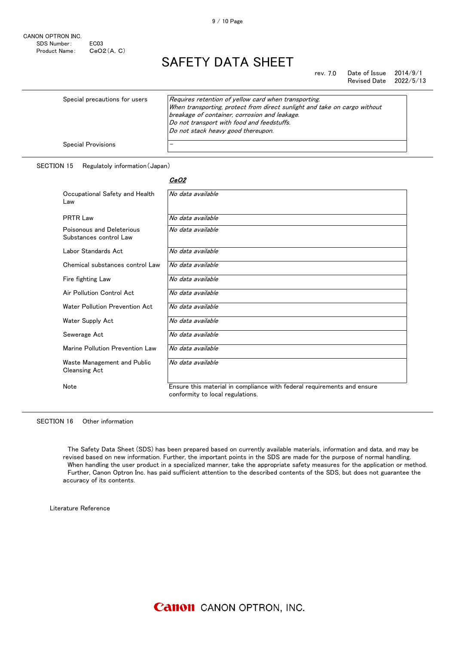rev. 7.0 Date of Issue 2014/9/1 Revised Date 2022/5/13

| Special precautions for users | Requires retention of yellow card when transporting.<br>When transporting, protect from direct sunlight and take on cargo without<br>breakage of container, corrosion and leakage.<br>Do not transport with food and feedstuffs.<br>Do not stack heavy good thereupon. |
|-------------------------------|------------------------------------------------------------------------------------------------------------------------------------------------------------------------------------------------------------------------------------------------------------------------|
| <b>Special Provisions</b>     |                                                                                                                                                                                                                                                                        |

#### SECTION 15 Regulatoly information(Japan)

| Occupational Safety and Health<br>Law               | No data available                                                                                           |
|-----------------------------------------------------|-------------------------------------------------------------------------------------------------------------|
| <b>PRTR Law</b>                                     | No data available                                                                                           |
| Poisonous and Deleterious<br>Substances control Law | No data available                                                                                           |
| Labor Standards Act                                 | No data available                                                                                           |
| Chemical substances control Law                     | No data available                                                                                           |
| Fire fighting Law                                   | No data available                                                                                           |
| Air Pollution Control Act                           | No data available                                                                                           |
| Water Pollution Prevention Act                      | No data available                                                                                           |
| Water Supply Act                                    | No data available                                                                                           |
| Sewerage Act                                        | No data available                                                                                           |
| Marine Pollution Prevention Law                     | No data available                                                                                           |
| Waste Management and Public<br><b>Cleansing Act</b> | No data available                                                                                           |
| Note                                                | Ensure this material in compliance with federal requirements and ensure<br>conformity to local regulations. |

SECTION 16 Other information

 The Safety Data Sheet (SDS) has been prepared based on currently available materials, information and data, and may be revised based on new information. Further, the important points in the SDS are made for the purpose of normal handling. When handling the user product in a specialized manner, take the appropriate safety measures for the application or method. Further, Canon Optron Inc. has paid sufficient attention to the described contents of the SDS, but does not guarantee the accuracy of its contents.

Literature Reference